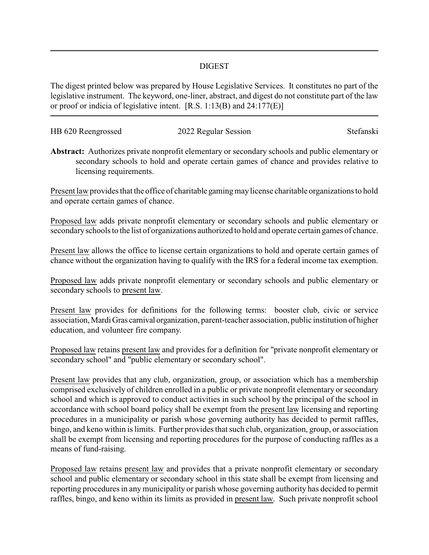## DIGEST

The digest printed below was prepared by House Legislative Services. It constitutes no part of the legislative instrument. The keyword, one-liner, abstract, and digest do not constitute part of the law or proof or indicia of legislative intent. [R.S. 1:13(B) and 24:177(E)]

| HB 620 Reengrossed | 2022 Regular Session | Stefanski |
|--------------------|----------------------|-----------|
|                    |                      |           |

**Abstract:** Authorizes private nonprofit elementary or secondary schools and public elementary or secondary schools to hold and operate certain games of chance and provides relative to licensing requirements.

Present law provides that the office of charitable gamingmaylicense charitable organizations to hold and operate certain games of chance.

Proposed law adds private nonprofit elementary or secondary schools and public elementary or secondaryschools to the list of organizations authorized to hold and operate certain games of chance.

Present law allows the office to license certain organizations to hold and operate certain games of chance without the organization having to qualify with the IRS for a federal income tax exemption.

Proposed law adds private nonprofit elementary or secondary schools and public elementary or secondary schools to present law.

Present law provides for definitions for the following terms: booster club, civic or service association,MardiGras carnival organization, parent-teacher association, public institution of higher education, and volunteer fire company.

Proposed law retains present law and provides for a definition for "private nonprofit elementary or secondary school" and "public elementary or secondary school".

Present law provides that any club, organization, group, or association which has a membership comprised exclusively of children enrolled in a public or private nonprofit elementary or secondary school and which is approved to conduct activities in such school by the principal of the school in accordance with school board policy shall be exempt from the present law licensing and reporting procedures in a municipality or parish whose governing authority has decided to permit raffles, bingo, and keno within is limits. Further provides that such club, organization, group, or association shall be exempt from licensing and reporting procedures for the purpose of conducting raffles as a means of fund-raising.

Proposed law retains present law and provides that a private nonprofit elementary or secondary school and public elementary or secondary school in this state shall be exempt from licensing and reporting procedures in any municipality or parish whose governing authority has decided to permit raffles, bingo, and keno within its limits as provided in present law. Such private nonprofit school